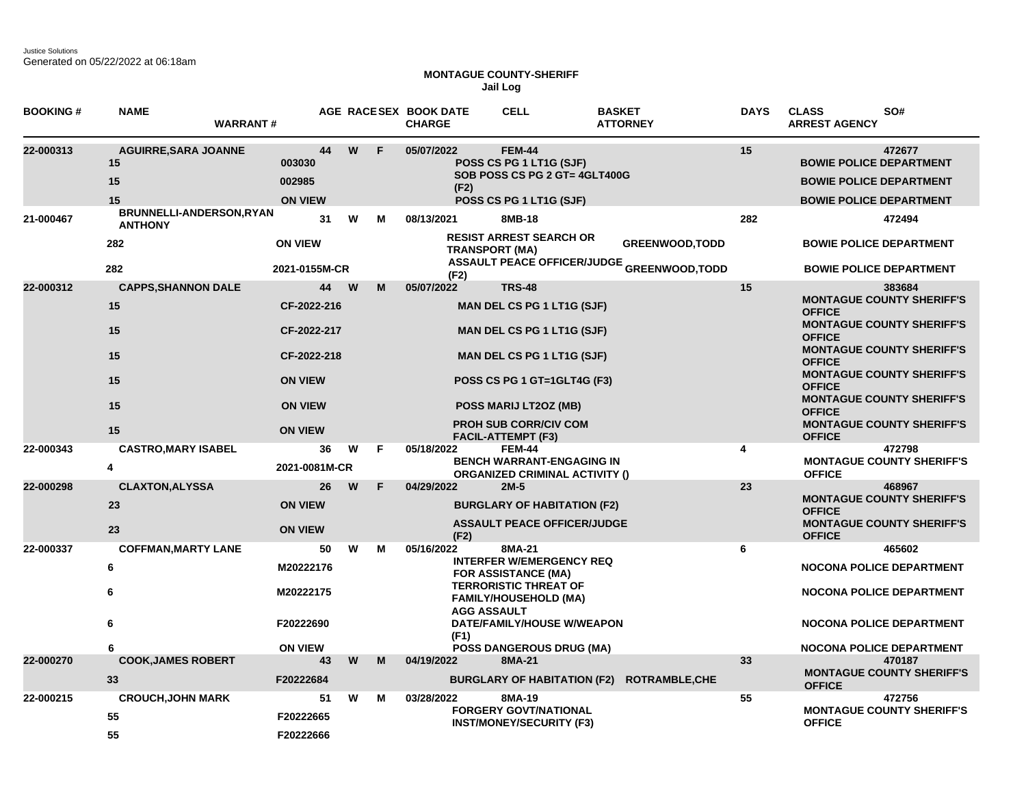Justice Solutions Generated on 05/22/2022 at 06:18am

## **MONTAGUE COUNTY-SHERIFF Jail Log**

| <b>BOOKING#</b> | <b>NAME</b>                                       | <b>WARRANT#</b>                                       |    |          |    | AGE RACESEX BOOK DATE<br><b>CHARGE</b>   | <b>CELL</b>                                                                                                                                                                                              | <b>BASKET</b><br><b>ATTORNEY</b>                  | <b>DAYS</b> | <b>CLASS</b><br>SO#<br><b>ARREST AGENCY</b>                                                                                                                 |
|-----------------|---------------------------------------------------|-------------------------------------------------------|----|----------|----|------------------------------------------|----------------------------------------------------------------------------------------------------------------------------------------------------------------------------------------------------------|---------------------------------------------------|-------------|-------------------------------------------------------------------------------------------------------------------------------------------------------------|
| 22-000313       | <b>AGUIRRE, SARA JOANNE</b><br>15<br>15<br>15     | 003030<br>002985<br><b>ON VIEW</b>                    | 44 | W        | F  | 05/07/2022<br>(F2)                       | <b>FEM-44</b><br>POSS CS PG 1 LT1G (SJF)<br>SOB POSS CS PG 2 GT= 4GLT400G<br>POSS CS PG 1 LT1G (SJF)                                                                                                     |                                                   | 15          | 472677<br><b>BOWIE POLICE DEPARTMENT</b><br><b>BOWIE POLICE DEPARTMENT</b><br><b>BOWIE POLICE DEPARTMENT</b>                                                |
| 21-000467       | BRUNNELLI-ANDERSON, RYAN<br><b>ANTHONY</b><br>282 | <b>ON VIEW</b>                                        | 31 | W        | м  | 08/13/2021                               | 8MB-18<br><b>RESIST ARREST SEARCH OR</b>                                                                                                                                                                 | <b>GREENWOOD, TODD</b>                            | 282         | 472494<br><b>BOWIE POLICE DEPARTMENT</b>                                                                                                                    |
|                 | 282                                               | 2021-0155M-CR                                         |    |          |    | <b>TRANSPORT (MA)</b><br>(F2)            |                                                                                                                                                                                                          | <b>ASSAULT PEACE OFFICER/JUDGE GREENWOOD,TODD</b> |             | <b>BOWIE POLICE DEPARTMENT</b>                                                                                                                              |
| 22-000312       | <b>CAPPS, SHANNON DALE</b><br>15<br>15            | CF-2022-216<br>CF-2022-217                            | 44 | <b>W</b> | м  | 05/07/2022                               | <b>TRS-48</b><br><b>MAN DEL CS PG 1 LT1G (SJF)</b><br><b>MAN DEL CS PG 1 LT1G (SJF)</b>                                                                                                                  |                                                   | 15          | 383684<br><b>MONTAGUE COUNTY SHERIFF'S</b><br><b>OFFICE</b><br><b>MONTAGUE COUNTY SHERIFF'S</b><br><b>OFFICE</b>                                            |
|                 | 15<br>15<br>15                                    | CF-2022-218<br><b>ON VIEW</b><br><b>ON VIEW</b>       |    |          |    |                                          | <b>MAN DEL CS PG 1 LT1G (SJF)</b><br>POSS CS PG 1 GT=1GLT4G (F3)<br>POSS MARIJ LT2OZ (MB)                                                                                                                |                                                   |             | <b>MONTAGUE COUNTY SHERIFF'S</b><br><b>OFFICE</b><br><b>MONTAGUE COUNTY SHERIFF'S</b><br><b>OFFICE</b><br><b>MONTAGUE COUNTY SHERIFF'S</b><br><b>OFFICE</b> |
|                 | 15                                                | <b>ON VIEW</b>                                        |    |          |    |                                          | <b>PROH SUB CORR/CIV COM</b><br><b>FACIL-ATTEMPT (F3)</b>                                                                                                                                                |                                                   |             | <b>MONTAGUE COUNTY SHERIFF'S</b><br><b>OFFICE</b>                                                                                                           |
| 22-000343       | <b>CASTRO, MARY ISABEL</b><br>4                   | 2021-0081M-CR                                         | 36 | W        | F. | 05/18/2022                               | <b>FEM-44</b><br><b>BENCH WARRANT-ENGAGING IN</b><br><b>ORGANIZED CRIMINAL ACTIVITY ()</b>                                                                                                               |                                                   | 4           | 472798<br><b>MONTAGUE COUNTY SHERIFF'S</b><br><b>OFFICE</b>                                                                                                 |
| 22-000298       | <b>CLAXTON, ALYSSA</b><br>23<br>23                | <b>ON VIEW</b><br><b>ON VIEW</b>                      | 26 | W        | F  | 04/29/2022<br>(F2)                       | $2M-5$<br><b>BURGLARY OF HABITATION (F2)</b><br><b>ASSAULT PEACE OFFICER/JUDGE</b>                                                                                                                       |                                                   | 23          | 468967<br><b>MONTAGUE COUNTY SHERIFF'S</b><br><b>OFFICE</b><br><b>MONTAGUE COUNTY SHERIFF'S</b><br><b>OFFICE</b>                                            |
| 22-000337       | <b>COFFMAN, MARTY LANE</b><br>6<br>6<br>6<br>6    | M20222176<br>M20222175<br>F20222690<br><b>ON VIEW</b> | 50 | w        | м  | 05/16/2022<br><b>AGG ASSAULT</b><br>(F1) | 8MA-21<br><b>INTERFER W/EMERGENCY REQ</b><br><b>FOR ASSISTANCE (MA)</b><br><b>TERRORISTIC THREAT OF</b><br><b>FAMILY/HOUSEHOLD (MA)</b><br>DATE/FAMILY/HOUSE W/WEAPON<br><b>POSS DANGEROUS DRUG (MA)</b> |                                                   | 6           | 465602<br><b>NOCONA POLICE DEPARTMENT</b><br><b>NOCONA POLICE DEPARTMENT</b><br><b>NOCONA POLICE DEPARTMENT</b><br><b>NOCONA POLICE DEPARTMENT</b>          |
| 22-000270       | <b>COOK, JAMES ROBERT</b><br>33                   | F20222684                                             | 43 | W        | M  | 04/19/2022                               | 8MA-21                                                                                                                                                                                                   | BURGLARY OF HABITATION (F2) ROTRAMBLE, CHE        | 33          | 470187<br><b>MONTAGUE COUNTY SHERIFF'S</b><br><b>OFFICE</b>                                                                                                 |
| 22-000215       | <b>CROUCH, JOHN MARK</b><br>55<br>55              | F20222665<br>F20222666                                | 51 | W        | м  | 03/28/2022                               | 8MA-19<br><b>FORGERY GOVT/NATIONAL</b><br><b>INST/MONEY/SECURITY (F3)</b>                                                                                                                                |                                                   | 55          | 472756<br><b>MONTAGUE COUNTY SHERIFF'S</b><br><b>OFFICE</b>                                                                                                 |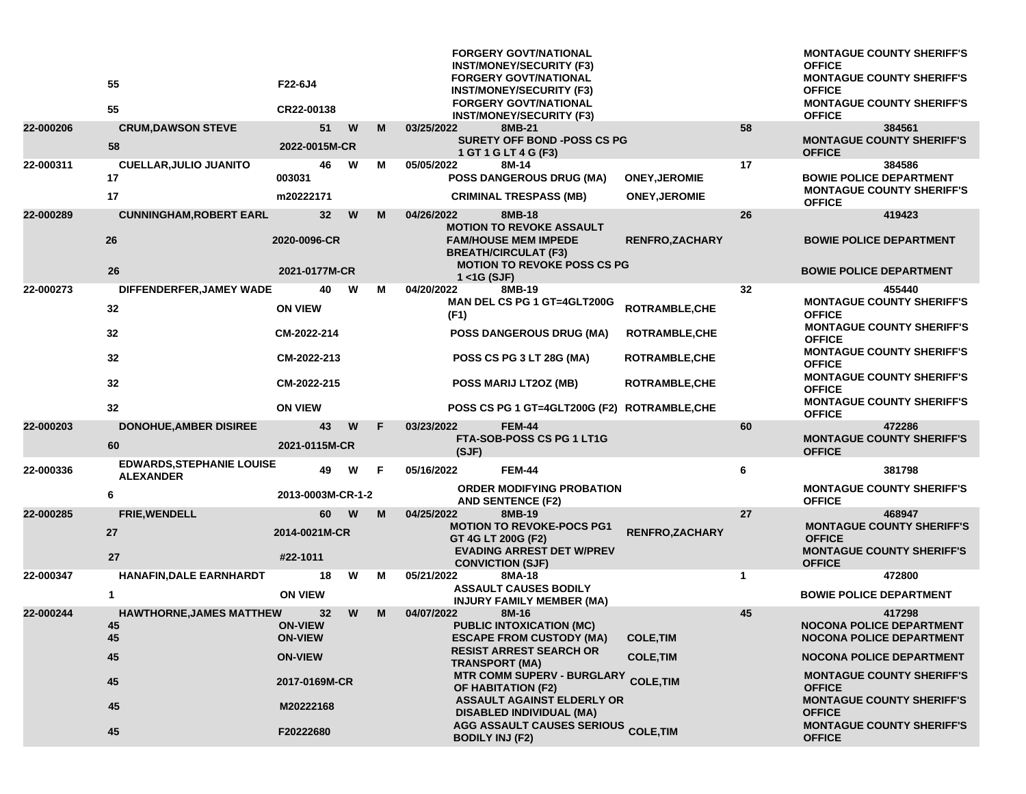|           | 55<br>55                                             | F22-6J4<br>CR22-00138            |   |   | <b>FORGERY GOVT/NATIONAL</b><br><b>INST/MONEY/SECURITY (F3)</b><br><b>FORGERY GOVT/NATIONAL</b><br><b>INST/MONEY/SECURITY (F3)</b><br><b>FORGERY GOVT/NATIONAL</b><br><b>INST/MONEY/SECURITY (F3)</b> |                        |    | <b>MONTAGUE COUNTY SHERIFF'S</b><br><b>OFFICE</b><br><b>MONTAGUE COUNTY SHERIFF'S</b><br><b>OFFICE</b><br><b>MONTAGUE COUNTY SHERIFF'S</b><br><b>OFFICE</b> |
|-----------|------------------------------------------------------|----------------------------------|---|---|-------------------------------------------------------------------------------------------------------------------------------------------------------------------------------------------------------|------------------------|----|-------------------------------------------------------------------------------------------------------------------------------------------------------------|
| 22-000206 | <b>CRUM, DAWSON STEVE</b>                            | 51                               | W | M | 03/25/2022<br>8MB-21                                                                                                                                                                                  |                        | 58 | 384561                                                                                                                                                      |
|           | 58                                                   | 2022-0015M-CR                    |   |   | <b>SURETY OFF BOND -POSS CS PG</b><br>1 GT 1 G LT 4 G (F3)                                                                                                                                            |                        |    | <b>MONTAGUE COUNTY SHERIFF'S</b><br><b>OFFICE</b>                                                                                                           |
| 22-000311 | <b>CUELLAR, JULIO JUANITO</b><br>17                  | 46<br>003031                     | W | М | 05/05/2022<br>8M-14<br>POSS DANGEROUS DRUG (MA)                                                                                                                                                       | <b>ONEY, JEROMIE</b>   | 17 | 384586<br><b>BOWIE POLICE DEPARTMENT</b>                                                                                                                    |
|           | 17                                                   | m20222171                        |   |   | <b>CRIMINAL TRESPASS (MB)</b>                                                                                                                                                                         | <b>ONEY, JEROMIE</b>   |    | <b>MONTAGUE COUNTY SHERIFF'S</b><br><b>OFFICE</b>                                                                                                           |
| 22-000289 | <b>CUNNINGHAM, ROBERT EARL</b>                       | 32 <sub>2</sub>                  | W | M | 04/26/2022<br>8MB-18<br><b>MOTION TO REVOKE ASSAULT</b>                                                                                                                                               |                        | 26 | 419423                                                                                                                                                      |
|           | 26                                                   | 2020-0096-CR                     |   |   | <b>FAM/HOUSE MEM IMPEDE</b><br><b>BREATH/CIRCULAT (F3)</b>                                                                                                                                            | <b>RENFRO, ZACHARY</b> |    | <b>BOWIE POLICE DEPARTMENT</b>                                                                                                                              |
|           | 26                                                   | 2021-0177M-CR                    |   |   | <b>MOTION TO REVOKE POSS CS PG</b><br>$1 <$ $<$ 1G (SJF)                                                                                                                                              |                        |    | <b>BOWIE POLICE DEPARTMENT</b>                                                                                                                              |
| 22-000273 | DIFFENDERFER, JAMEY WADE                             | 40                               | W | М | 04/20/2022<br>8MB-19                                                                                                                                                                                  |                        | 32 | 455440                                                                                                                                                      |
|           | 32                                                   | <b>ON VIEW</b>                   |   |   | MAN DEL CS PG 1 GT=4GLT200G<br>(F1)                                                                                                                                                                   | ROTRAMBLE, CHE         |    | <b>MONTAGUE COUNTY SHERIFF'S</b><br><b>OFFICE</b><br><b>MONTAGUE COUNTY SHERIFF'S</b>                                                                       |
|           | 32                                                   | CM-2022-214                      |   |   | <b>POSS DANGEROUS DRUG (MA)</b>                                                                                                                                                                       | <b>ROTRAMBLE, CHE</b>  |    | <b>OFFICE</b><br><b>MONTAGUE COUNTY SHERIFF'S</b>                                                                                                           |
|           | 32                                                   | CM-2022-213                      |   |   | POSS CS PG 3 LT 28G (MA)                                                                                                                                                                              | <b>ROTRAMBLE, CHE</b>  |    | <b>OFFICE</b>                                                                                                                                               |
|           | 32                                                   | CM-2022-215                      |   |   | POSS MARIJ LT2OZ (MB)                                                                                                                                                                                 | ROTRAMBLE, CHE         |    | <b>MONTAGUE COUNTY SHERIFF'S</b><br><b>OFFICE</b>                                                                                                           |
|           | 32                                                   | <b>ON VIEW</b>                   |   |   | POSS CS PG 1 GT=4GLT200G (F2) ROTRAMBLE, CHE                                                                                                                                                          |                        |    | <b>MONTAGUE COUNTY SHERIFF'S</b><br><b>OFFICE</b>                                                                                                           |
| 22-000203 | <b>DONOHUE, AMBER DISIREE</b><br>60                  | 43<br>2021-0115M-CR              | W | F | <b>FEM-44</b><br>03/23/2022<br>FTA-SOB-POSS CS PG 1 LT1G                                                                                                                                              |                        | 60 | 472286<br><b>MONTAGUE COUNTY SHERIFF'S</b>                                                                                                                  |
| 22-000336 | <b>EDWARDS, STEPHANIE LOUISE</b><br><b>ALEXANDER</b> | 49                               | W | F | (SJF)<br>05/16/2022<br><b>FEM-44</b>                                                                                                                                                                  |                        | 6  | <b>OFFICE</b><br>381798                                                                                                                                     |
|           | 6                                                    | 2013-0003M-CR-1-2                |   |   | <b>ORDER MODIFYING PROBATION</b><br><b>AND SENTENCE (F2)</b>                                                                                                                                          |                        |    | <b>MONTAGUE COUNTY SHERIFF'S</b><br><b>OFFICE</b>                                                                                                           |
| 22-000285 | <b>FRIE, WENDELL</b>                                 | 60                               | W | M | 04/25/2022<br>8MB-19                                                                                                                                                                                  |                        | 27 | 468947                                                                                                                                                      |
|           | 27                                                   | 2014-0021M-CR                    |   |   | <b>MOTION TO REVOKE-POCS PG1</b><br>GT 4G LT 200G (F2)<br><b>EVADING ARREST DET W/PREV</b>                                                                                                            | <b>RENFRO,ZACHARY</b>  |    | <b>MONTAGUE COUNTY SHERIFF'S</b><br><b>OFFICE</b><br><b>MONTAGUE COUNTY SHERIFF'S</b>                                                                       |
|           | 27                                                   | #22-1011                         |   |   | <b>CONVICTION (SJF)</b>                                                                                                                                                                               |                        |    | <b>OFFICE</b>                                                                                                                                               |
| 22-000347 | <b>HANAFIN, DALE EARNHARDT</b>                       | 18                               | W | м | 05/21/2022<br>8MA-18                                                                                                                                                                                  |                        | 1  | 472800                                                                                                                                                      |
|           | 1                                                    | <b>ON VIEW</b>                   |   |   | <b>ASSAULT CAUSES BODILY</b><br><b>INJURY FAMILY MEMBER (MA)</b>                                                                                                                                      |                        |    | <b>BOWIE POLICE DEPARTMENT</b>                                                                                                                              |
| 22-000244 | <b>HAWTHORNE, JAMES MATTHEW</b>                      | 32 <sub>2</sub>                  | W | M | 04/07/2022<br>8M-16                                                                                                                                                                                   |                        | 45 | 417298                                                                                                                                                      |
|           | 45<br>45                                             | <b>ON-VIEW</b><br><b>ON-VIEW</b> |   |   | <b>PUBLIC INTOXICATION (MC)</b><br><b>ESCAPE FROM CUSTODY (MA)</b>                                                                                                                                    | <b>COLE, TIM</b>       |    | NOCONA POLICE DEPARTMENT<br><b>NOCONA POLICE DEPARTMENT</b>                                                                                                 |
|           | 45                                                   | <b>ON-VIEW</b>                   |   |   | <b>RESIST ARREST SEARCH OR</b><br><b>TRANSPORT (MA)</b>                                                                                                                                               | <b>COLE, TIM</b>       |    | <b>NOCONA POLICE DEPARTMENT</b>                                                                                                                             |
|           | 45                                                   | 2017-0169M-CR                    |   |   | <b>MTR COMM SUPERV - BURGLARY</b><br>OF HABITATION (F2)                                                                                                                                               | <b>COLE, TIM</b>       |    | <b>MONTAGUE COUNTY SHERIFF'S</b><br><b>OFFICE</b>                                                                                                           |
|           | 45                                                   | M20222168                        |   |   | <b>ASSAULT AGAINST ELDERLY OR</b><br><b>DISABLED INDIVIDUAL (MA)</b>                                                                                                                                  |                        |    | <b>MONTAGUE COUNTY SHERIFF'S</b><br><b>OFFICE</b>                                                                                                           |
|           | 45                                                   | F20222680                        |   |   | <b>AGG ASSAULT CAUSES SERIOUS COLE, TIM</b><br><b>BODILY INJ (F2)</b>                                                                                                                                 |                        |    | <b>MONTAGUE COUNTY SHERIFF'S</b><br><b>OFFICE</b>                                                                                                           |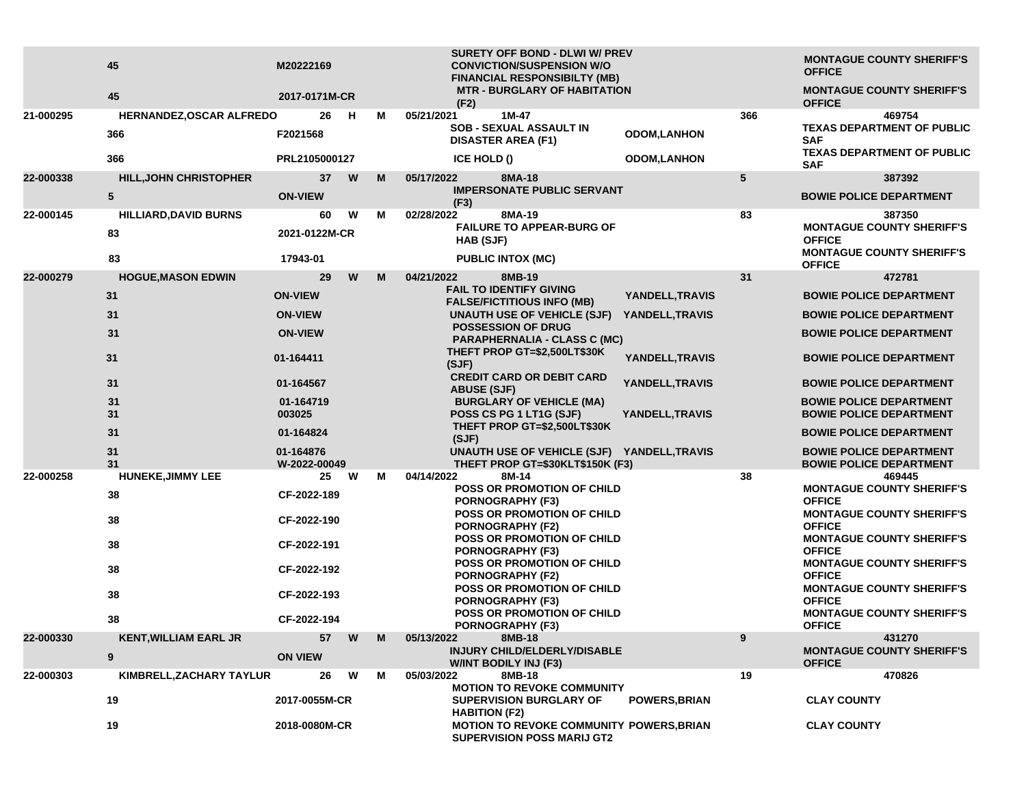|           | 45<br>45                      | M20222169<br>2017-0171M-CR |    |   |   | SURETY OFF BOND - DLWI W/ PREV<br><b>CONVICTION/SUSPENSION W/O</b><br><b>FINANCIAL RESPONSIBILTY (MB)</b><br><b>MTR - BURGLARY OF HABITATION</b> |                      |     | <b>MONTAGUE COUNTY SHERIFF'S</b><br><b>OFFICE</b><br><b>MONTAGUE COUNTY SHERIFF'S</b> |
|-----------|-------------------------------|----------------------------|----|---|---|--------------------------------------------------------------------------------------------------------------------------------------------------|----------------------|-----|---------------------------------------------------------------------------------------|
| 21-000295 | HERNANDEZ, OSCAR ALFREDO      |                            | 26 | н | м | (F2)<br>05/21/2021<br>$1M-47$                                                                                                                    |                      | 366 | <b>OFFICE</b><br>469754                                                               |
|           | 366                           | F2021568                   |    |   |   | <b>SOB - SEXUAL ASSAULT IN</b><br><b>DISASTER AREA (F1)</b>                                                                                      | <b>ODOM,LANHON</b>   |     | <b>TEXAS DEPARTMENT OF PUBLIC</b><br><b>SAF</b>                                       |
|           | 366                           | PRL2105000127              |    |   |   | ICE HOLD ()                                                                                                                                      | <b>ODOM,LANHON</b>   |     | <b>TEXAS DEPARTMENT OF PUBLIC</b><br><b>SAF</b>                                       |
| 22-000338 | <b>HILL, JOHN CHRISTOPHER</b> |                            | 37 | W | M | 8MA-18<br>05/17/2022                                                                                                                             |                      | 5   | 387392                                                                                |
|           | ${\bf 5}$                     | <b>ON-VIEW</b>             |    |   |   | <b>IMPERSONATE PUBLIC SERVANT</b><br>(F3)                                                                                                        |                      |     | <b>BOWIE POLICE DEPARTMENT</b>                                                        |
| 22-000145 | <b>HILLIARD, DAVID BURNS</b>  |                            | 60 | W | м | 02/28/2022<br>8MA-19                                                                                                                             |                      | 83  | 387350                                                                                |
|           | 83                            | 2021-0122M-CR              |    |   |   | <b>FAILURE TO APPEAR-BURG OF</b><br>HAB (SJF)                                                                                                    |                      |     | <b>MONTAGUE COUNTY SHERIFF'S</b><br><b>OFFICE</b>                                     |
|           | 83                            | 17943-01                   |    |   |   | <b>PUBLIC INTOX (MC)</b>                                                                                                                         |                      |     | <b>MONTAGUE COUNTY SHERIFF'S</b><br><b>OFFICE</b>                                     |
| 22-000279 | <b>HOGUE, MASON EDWIN</b>     |                            | 29 | W | M | 04/21/2022<br>8MB-19                                                                                                                             |                      | 31  | 472781                                                                                |
|           | 31                            | <b>ON-VIEW</b>             |    |   |   | <b>FAIL TO IDENTIFY GIVING</b><br><b>FALSE/FICTITIOUS INFO (MB)</b>                                                                              | YANDELL, TRAVIS      |     | <b>BOWIE POLICE DEPARTMENT</b>                                                        |
|           | 31                            | <b>ON-VIEW</b>             |    |   |   | UNAUTH USE OF VEHICLE (SJF)                                                                                                                      | YANDELL, TRAVIS      |     | <b>BOWIE POLICE DEPARTMENT</b>                                                        |
|           | 31                            | <b>ON-VIEW</b>             |    |   |   | <b>POSSESSION OF DRUG</b><br><b>PARAPHERNALIA - CLASS C (MC)</b>                                                                                 |                      |     | <b>BOWIE POLICE DEPARTMENT</b>                                                        |
|           | 31                            | 01-164411                  |    |   |   | THEFT PROP GT=\$2,500LT\$30K<br>(SJF)                                                                                                            | YANDELL, TRAVIS      |     | <b>BOWIE POLICE DEPARTMENT</b>                                                        |
|           | 31                            | 01-164567                  |    |   |   | <b>CREDIT CARD OR DEBIT CARD</b><br><b>ABUSE (SJF)</b>                                                                                           | YANDELL, TRAVIS      |     | <b>BOWIE POLICE DEPARTMENT</b>                                                        |
|           | 31                            | 01-164719                  |    |   |   | <b>BURGLARY OF VEHICLE (MA)</b>                                                                                                                  |                      |     | <b>BOWIE POLICE DEPARTMENT</b>                                                        |
|           | 31                            | 003025                     |    |   |   | POSS CS PG 1 LT1G (SJF)<br>THEFT PROP GT=\$2,500LT\$30K                                                                                          | YANDELL, TRAVIS      |     | <b>BOWIE POLICE DEPARTMENT</b>                                                        |
|           | 31                            | 01-164824                  |    |   |   | (SJF)                                                                                                                                            |                      |     | <b>BOWIE POLICE DEPARTMENT</b>                                                        |
|           | 31<br>31                      | 01-164876<br>W-2022-00049  |    |   |   | UNAUTH USE OF VEHICLE (SJF) YANDELL, TRAVIS<br>THEFT PROP GT=\$30KLT\$150K (F3)                                                                  |                      |     | <b>BOWIE POLICE DEPARTMENT</b><br><b>BOWIE POLICE DEPARTMENT</b>                      |
| 22-000258 | <b>HUNEKE, JIMMY LEE</b>      |                            | 25 | W | М | 04/14/2022<br>8M-14                                                                                                                              |                      | 38  | 469445                                                                                |
|           | 38                            | CF-2022-189                |    |   |   | POSS OR PROMOTION OF CHILD<br>PORNOGRAPHY (F3)                                                                                                   |                      |     | <b>MONTAGUE COUNTY SHERIFF'S</b><br><b>OFFICE</b>                                     |
|           | 38                            | CF-2022-190                |    |   |   | POSS OR PROMOTION OF CHILD<br><b>PORNOGRAPHY (F2)</b>                                                                                            |                      |     | <b>MONTAGUE COUNTY SHERIFF'S</b><br><b>OFFICE</b>                                     |
|           | 38                            | CF-2022-191                |    |   |   | POSS OR PROMOTION OF CHILD<br><b>PORNOGRAPHY (F3)</b>                                                                                            |                      |     | <b>MONTAGUE COUNTY SHERIFF'S</b><br><b>OFFICE</b>                                     |
|           | 38                            | CF-2022-192                |    |   |   | <b>POSS OR PROMOTION OF CHILD</b><br><b>PORNOGRAPHY (F2)</b>                                                                                     |                      |     | <b>MONTAGUE COUNTY SHERIFF'S</b><br><b>OFFICE</b>                                     |
|           | 38                            | CF-2022-193                |    |   |   | POSS OR PROMOTION OF CHILD<br>PORNOGRAPHY (F3)                                                                                                   |                      |     | <b>MONTAGUE COUNTY SHERIFF'S</b><br><b>OFFICE</b>                                     |
|           | 38                            | CF-2022-194                |    |   |   | POSS OR PROMOTION OF CHILD<br><b>PORNOGRAPHY (F3)</b>                                                                                            |                      |     | <b>MONTAGUE COUNTY SHERIFF'S</b><br><b>OFFICE</b>                                     |
| 22-000330 | <b>KENT, WILLIAM EARL JR</b>  |                            | 57 | W | M | 05/13/2022<br>8MB-18                                                                                                                             |                      | 9   | 431270                                                                                |
|           | 9                             | <b>ON VIEW</b>             |    |   |   | INJURY CHILD/ELDERLY/DISABLE<br>W/INT BODILY INJ (F3)                                                                                            |                      |     | <b>MONTAGUE COUNTY SHERIFF'S</b><br><b>OFFICE</b>                                     |
| 22-000303 | KIMBRELL, ZACHARY TAYLUR      |                            | 26 | W | М | 05/03/2022<br>8MB-18<br><b>MOTION TO REVOKE COMMUNITY</b>                                                                                        |                      | 19  | 470826                                                                                |
|           | 19                            | 2017-0055M-CR              |    |   |   | <b>SUPERVISION BURGLARY OF</b><br><b>HABITION (F2)</b>                                                                                           | <b>POWERS, BRIAN</b> |     | <b>CLAY COUNTY</b>                                                                    |
|           | 19                            | 2018-0080M-CR              |    |   |   | MOTION TO REVOKE COMMUNITY POWERS, BRIAN<br><b>SUPERVISION POSS MARIJ GT2</b>                                                                    |                      |     | <b>CLAY COUNTY</b>                                                                    |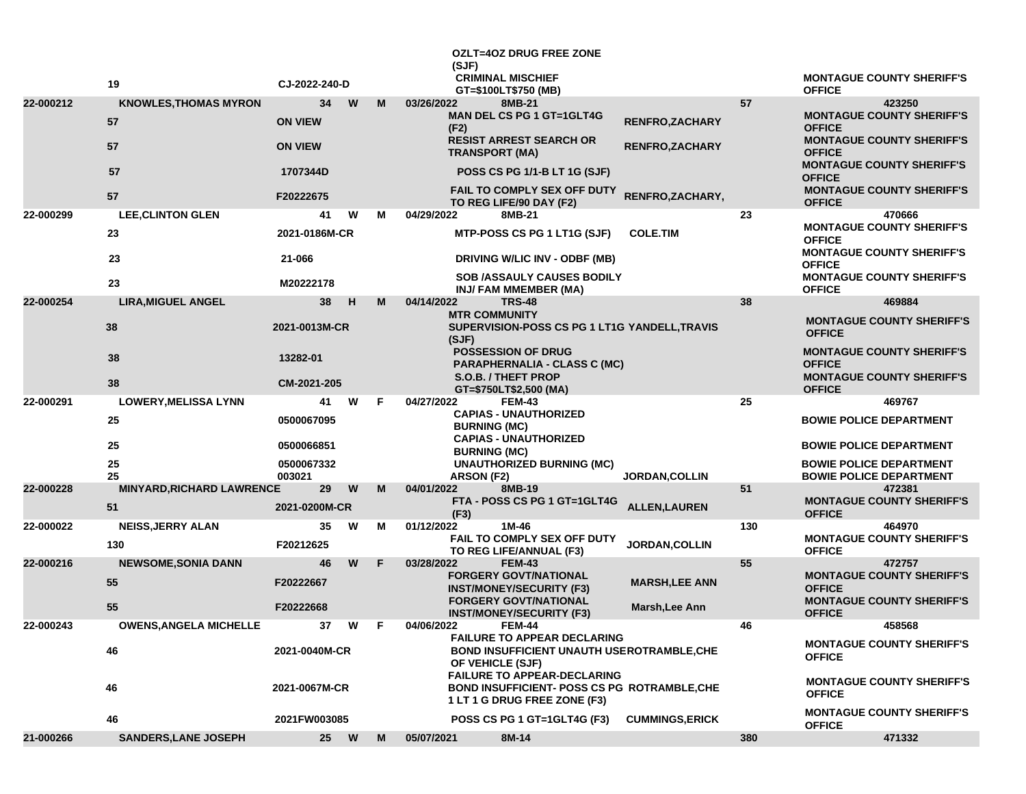|           | 19                               | CJ-2022-240-D        |      |    | (SJF)                              | <b>OZLT=4OZ DRUG FREE ZONE</b><br><b>CRIMINAL MISCHIEF</b>                                                  |                        |     | <b>MONTAGUE COUNTY SHERIFF'S</b>                                                      |
|-----------|----------------------------------|----------------------|------|----|------------------------------------|-------------------------------------------------------------------------------------------------------------|------------------------|-----|---------------------------------------------------------------------------------------|
| 22-000212 | <b>KNOWLES, THOMAS MYRON</b>     | 34                   | W    | M  | 03/26/2022                         | GT=\$100LT\$750 (MB)<br>8MB-21                                                                              |                        | 57  | <b>OFFICE</b><br>423250                                                               |
|           | 57                               | <b>ON VIEW</b>       |      |    | (F2)                               | <b>MAN DEL CS PG 1 GT=1GLT4G</b>                                                                            | <b>RENFRO,ZACHARY</b>  |     | <b>MONTAGUE COUNTY SHERIFF'S</b><br><b>OFFICE</b>                                     |
|           | 57                               | <b>ON VIEW</b>       |      |    | <b>TRANSPORT (MA)</b>              | <b>RESIST ARREST SEARCH OR</b>                                                                              | <b>RENFRO, ZACHARY</b> |     | <b>MONTAGUE COUNTY SHERIFF'S</b><br><b>OFFICE</b><br><b>MONTAGUE COUNTY SHERIFF'S</b> |
|           | 57                               | 1707344D             |      |    |                                    | <b>POSS CS PG 1/1-B LT 1G (SJF)</b>                                                                         |                        |     | <b>OFFICE</b>                                                                         |
|           | 57                               | F20222675            |      |    |                                    | <b>FAIL TO COMPLY SEX OFF DUTY</b><br>TO REG LIFE/90 DAY (F2)                                               | RENFRO, ZACHARY,       |     | <b>MONTAGUE COUNTY SHERIFF'S</b><br><b>OFFICE</b>                                     |
| 22-000299 | <b>LEE, CLINTON GLEN</b>         | 41                   | W    | м  | 04/29/2022                         | 8MB-21                                                                                                      |                        | 23  | 470666                                                                                |
|           | 23                               | 2021-0186M-CR        |      |    |                                    | MTP-POSS CS PG 1 LT1G (SJF)                                                                                 | <b>COLE.TIM</b>        |     | <b>MONTAGUE COUNTY SHERIFF'S</b><br><b>OFFICE</b><br><b>MONTAGUE COUNTY SHERIFF'S</b> |
|           | 23                               | 21-066               |      |    |                                    | DRIVING W/LIC INV - ODBF (MB)                                                                               |                        |     | <b>OFFICE</b><br><b>MONTAGUE COUNTY SHERIFF'S</b>                                     |
|           | 23                               | M20222178            |      |    |                                    | <b>SOB /ASSAULY CAUSES BODILY</b><br>INJ/ FAM MMEMBER (MA)                                                  |                        |     | <b>OFFICE</b>                                                                         |
| 22-000254 | <b>LIRA, MIGUEL ANGEL</b>        | 38                   | н    | М  | 04/14/2022<br><b>MTR COMMUNITY</b> | <b>TRS-48</b>                                                                                               |                        | 38  | 469884                                                                                |
|           | 38                               | 2021-0013M-CR        |      |    | (SJF)                              | SUPERVISION-POSS CS PG 1 LT1G YANDELL, TRAVIS                                                               |                        |     | <b>MONTAGUE COUNTY SHERIFF'S</b><br><b>OFFICE</b>                                     |
|           | 38                               | 13282-01             |      |    |                                    | <b>POSSESSION OF DRUG</b><br><b>PARAPHERNALIA - CLASS C (MC)</b>                                            |                        |     | <b>MONTAGUE COUNTY SHERIFF'S</b><br><b>OFFICE</b>                                     |
|           | 38                               | CM-2021-205          |      |    |                                    | S.O.B. / THEFT PROP<br>GT=\$750LT\$2,500 (MA)                                                               |                        |     | <b>MONTAGUE COUNTY SHERIFF'S</b><br><b>OFFICE</b>                                     |
| 22-000291 | <b>LOWERY, MELISSA LYNN</b>      | 41                   | W    | F. | 04/27/2022                         | <b>FEM-43</b>                                                                                               |                        | 25  | 469767                                                                                |
|           | 25                               | 0500067095           |      |    | <b>BURNING (MC)</b>                | <b>CAPIAS - UNAUTHORIZED</b><br><b>CAPIAS - UNAUTHORIZED</b>                                                |                        |     | <b>BOWIE POLICE DEPARTMENT</b>                                                        |
|           | 25                               | 0500066851           |      |    | <b>BURNING (MC)</b>                |                                                                                                             |                        |     | <b>BOWIE POLICE DEPARTMENT</b>                                                        |
|           | 25<br>25                         | 0500067332<br>003021 |      |    | <b>ARSON (F2)</b>                  | <b>UNAUTHORIZED BURNING (MC)</b>                                                                            | <b>JORDAN, COLLIN</b>  |     | <b>BOWIE POLICE DEPARTMENT</b><br><b>BOWIE POLICE DEPARTMENT</b>                      |
| 22-000228 | <b>MINYARD, RICHARD LAWRENCE</b> | 29                   | W    | M  | 04/01/2022                         | 8MB-19                                                                                                      |                        | 51  | 472381                                                                                |
|           | 51                               | 2021-0200M-CR        |      |    | (F3)                               | FTA - POSS CS PG 1 GT=1GLT4G                                                                                | <b>ALLEN, LAUREN</b>   |     | <b>MONTAGUE COUNTY SHERIFF'S</b><br><b>OFFICE</b>                                     |
| 22-000022 | <b>NEISS, JERRY ALAN</b>         | 35                   | W    | м  | 01/12/2022                         | 1M-46<br>FAIL TO COMPLY SEX OFF DUTY                                                                        |                        | 130 | 464970<br><b>MONTAGUE COUNTY SHERIFF'S</b>                                            |
|           | 130                              | F20212625            |      |    |                                    | TO REG LIFE/ANNUAL (F3)                                                                                     | <b>JORDAN, COLLIN</b>  |     | <b>OFFICE</b>                                                                         |
| 22-000216 | <b>NEWSOME, SONIA DANN</b>       | 46                   | W    | F  | 03/28/2022                         | <b>FEM-43</b>                                                                                               |                        | 55  | 472757                                                                                |
|           | 55                               | F20222667            |      |    |                                    | <b>FORGERY GOVT/NATIONAL</b><br><b>INST/MONEY/SECURITY (F3)</b>                                             | <b>MARSH, LEE ANN</b>  |     | <b>MONTAGUE COUNTY SHERIFF'S</b><br><b>OFFICE</b>                                     |
|           | 55                               | F20222668            |      |    |                                    | <b>FORGERY GOVT/NATIONAL</b><br><b>INST/MONEY/SECURITY (F3)</b>                                             | Marsh, Lee Ann         |     | <b>MONTAGUE COUNTY SHERIFF'S</b><br><b>OFFICE</b>                                     |
| 22-000243 | <b>OWENS, ANGELA MICHELLE</b>    | 37                   | W    | F  | 04/06/2022                         | <b>FEM-44</b><br><b>FAILURE TO APPEAR DECLARING</b>                                                         |                        | 46  | 458568                                                                                |
|           | 46                               | 2021-0040M-CR        |      |    |                                    | <b>BOND INSUFFICIENT UNAUTH USEROTRAMBLE, CHE</b><br>OF VEHICLE (SJF)<br><b>FAILURE TO APPEAR-DECLARING</b> |                        |     | <b>MONTAGUE COUNTY SHERIFF'S</b><br><b>OFFICE</b>                                     |
|           | 46                               | 2021-0067M-CR        |      |    |                                    | <b>BOND INSUFFICIENT- POSS CS PG ROTRAMBLE, CHE</b><br>1 LT 1 G DRUG FREE ZONE (F3)                         |                        |     | <b>MONTAGUE COUNTY SHERIFF'S</b><br><b>OFFICE</b>                                     |
|           | 46                               | 2021FW003085         |      |    |                                    | POSS CS PG 1 GT=1GLT4G (F3)                                                                                 | <b>CUMMINGS, ERICK</b> |     | <b>MONTAGUE COUNTY SHERIFF'S</b><br><b>OFFICE</b>                                     |
| 21-000266 | <b>SANDERS, LANE JOSEPH</b>      |                      | 25 W | M  | 05/07/2021                         | 8M-14                                                                                                       |                        | 380 | 471332                                                                                |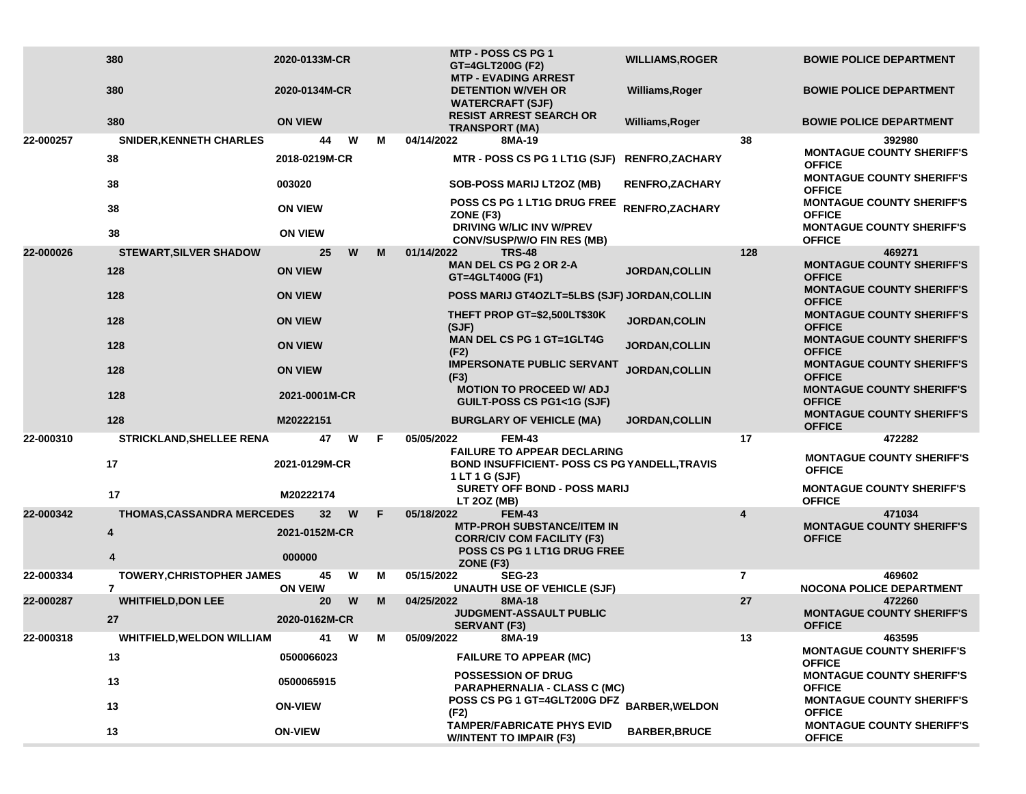|           | 380<br>380<br>380                      | 2020-0133M-CR<br>2020-0134M-CR<br><b>ON VIEW</b> |    | <b>MTP - POSS CS PG 1</b><br>GT=4GLT200G (F2)<br><b>MTP - EVADING ARREST</b><br><b>DETENTION W/VEH OR</b><br><b>WATERCRAFT (SJF)</b><br><b>RESIST ARREST SEARCH OR</b> | <b>WILLIAMS, ROGER</b><br>Williams, Roger<br>Williams, Roger |                | <b>BOWIE POLICE DEPARTMENT</b><br><b>BOWIE POLICE DEPARTMENT</b><br><b>BOWIE POLICE DEPARTMENT</b> |
|-----------|----------------------------------------|--------------------------------------------------|----|------------------------------------------------------------------------------------------------------------------------------------------------------------------------|--------------------------------------------------------------|----------------|----------------------------------------------------------------------------------------------------|
| 22-000257 | <b>SNIDER, KENNETH CHARLES</b>         | W<br>44                                          | м  | <b>TRANSPORT (MA)</b><br>04/14/2022<br>8MA-19                                                                                                                          |                                                              | 38             | 392980                                                                                             |
|           | 38                                     | 2018-0219M-CR                                    |    | MTR - POSS CS PG 1 LT1G (SJF)                                                                                                                                          | <b>RENFRO,ZACHARY</b>                                        |                | <b>MONTAGUE COUNTY SHERIFF'S</b><br><b>OFFICE</b>                                                  |
|           | 38                                     | 003020                                           |    | <b>SOB-POSS MARIJ LT2OZ (MB)</b>                                                                                                                                       | <b>RENFRO, ZACHARY</b>                                       |                | <b>MONTAGUE COUNTY SHERIFF'S</b><br><b>OFFICE</b>                                                  |
|           | 38                                     | <b>ON VIEW</b>                                   |    | POSS CS PG 1 LT1G DRUG FREE<br>ZONE (F3)                                                                                                                               | RENFRO, ZACHARY                                              |                | <b>MONTAGUE COUNTY SHERIFF'S</b><br><b>OFFICE</b>                                                  |
|           | 38                                     | <b>ON VIEW</b>                                   |    | DRIVING W/LIC INV W/PREV<br><b>CONV/SUSP/W/O FIN RES (MB)</b>                                                                                                          |                                                              |                | <b>MONTAGUE COUNTY SHERIFF'S</b><br><b>OFFICE</b>                                                  |
| 22-000026 | <b>STEWART, SILVER SHADOW</b>          | 25<br>W                                          | M  | 01/14/2022<br><b>TRS-48</b>                                                                                                                                            |                                                              | 128            | 469271                                                                                             |
|           | 128                                    | <b>ON VIEW</b>                                   |    | <b>MAN DEL CS PG 2 OR 2-A</b><br>GT=4GLT400G (F1)                                                                                                                      | <b>JORDAN, COLLIN</b>                                        |                | <b>MONTAGUE COUNTY SHERIFF'S</b><br><b>OFFICE</b>                                                  |
|           | 128                                    | <b>ON VIEW</b>                                   |    | POSS MARIJ GT4OZLT=5LBS (SJF) JORDAN, COLLIN                                                                                                                           |                                                              |                | <b>MONTAGUE COUNTY SHERIFF'S</b><br><b>OFFICE</b>                                                  |
|           | 128                                    | <b>ON VIEW</b>                                   |    | THEFT PROP GT=\$2,500LT\$30K<br>(SJF)                                                                                                                                  | JORDAN, COLIN                                                |                | <b>MONTAGUE COUNTY SHERIFF'S</b><br><b>OFFICE</b>                                                  |
|           | 128                                    | <b>ON VIEW</b>                                   |    | <b>MAN DEL CS PG 1 GT=1GLT4G</b><br>(F2)                                                                                                                               | JORDAN, COLLIN                                               |                | <b>MONTAGUE COUNTY SHERIFF'S</b><br><b>OFFICE</b>                                                  |
|           | 128                                    | <b>ON VIEW</b>                                   |    | <b>IMPERSONATE PUBLIC SERVANT</b><br>(F3)                                                                                                                              | JORDAN, COLLIN                                               |                | <b>MONTAGUE COUNTY SHERIFF'S</b><br><b>OFFICE</b>                                                  |
|           | 128                                    | 2021-0001M-CR                                    |    | <b>MOTION TO PROCEED W/ ADJ</b><br>GUILT-POSS CS PG1<1G (SJF)                                                                                                          |                                                              |                | <b>MONTAGUE COUNTY SHERIFF'S</b><br><b>OFFICE</b>                                                  |
|           | 128                                    | M20222151                                        |    | <b>BURGLARY OF VEHICLE (MA)</b>                                                                                                                                        | <b>JORDAN, COLLIN</b>                                        |                | <b>MONTAGUE COUNTY SHERIFF'S</b><br><b>OFFICE</b>                                                  |
| 22-000310 | STRICKLAND, SHELLEE RENA               | W<br>47                                          | F. | <b>FEM-43</b><br>05/05/2022<br><b>FAILURE TO APPEAR DECLARING</b>                                                                                                      |                                                              | 17             | 472282                                                                                             |
|           | 17                                     | 2021-0129M-CR                                    |    | <b>BOND INSUFFICIENT- POSS CS PG YANDELL, TRAVIS</b><br>1 LT 1 G (SJF)                                                                                                 |                                                              |                | <b>MONTAGUE COUNTY SHERIFF'S</b><br><b>OFFICE</b>                                                  |
|           | 17                                     | M20222174                                        |    | <b>SURETY OFF BOND - POSS MARIJ</b><br>LT 20Z (MB)                                                                                                                     |                                                              |                | <b>MONTAGUE COUNTY SHERIFF'S</b><br><b>OFFICE</b>                                                  |
| 22-000342 | <b>THOMAS, CASSANDRA MERCEDES</b>      | 32 <sub>2</sub><br>W                             | F  | 05/18/2022<br><b>FEM-43</b><br><b>MTP-PROH SUBSTANCE/ITEM IN</b>                                                                                                       |                                                              | 4              | 471034<br><b>MONTAGUE COUNTY SHERIFF'S</b>                                                         |
|           | 4                                      | 2021-0152M-CR                                    |    | <b>CORR/CIV COM FACILITY (F3)</b><br>POSS CS PG 1 LT1G DRUG FREE                                                                                                       |                                                              |                | <b>OFFICE</b>                                                                                      |
|           | 4                                      | 000000                                           |    | ZONE (F3)                                                                                                                                                              |                                                              |                |                                                                                                    |
| 22-000334 | <b>TOWERY, CHRISTOPHER JAMES</b><br>7  | 45<br>W<br><b>ON VEIW</b>                        | м  | 05/15/2022<br><b>SEG-23</b><br><b>UNAUTH USE OF VEHICLE (SJF)</b>                                                                                                      |                                                              | $\overline{7}$ | 469602<br><b>NOCONA POLICE DEPARTMENT</b>                                                          |
| 22-000287 | <b>WHITFIELD, DON LEE</b><br>27        | W<br>20<br>2020-0162M-CR                         | M  | 04/25/2022<br>8MA-18<br><b>JUDGMENT-ASSAULT PUBLIC</b>                                                                                                                 |                                                              | 27             | 472260<br><b>MONTAGUE COUNTY SHERIFF'S</b>                                                         |
| 22-000318 |                                        | W<br>41                                          | м  | <b>SERVANT (F3)</b><br>05/09/2022<br>8MA-19                                                                                                                            |                                                              | 13             | <b>OFFICE</b><br>463595                                                                            |
|           | <b>WHITFIELD, WELDON WILLIAM</b><br>13 | 0500066023                                       |    | <b>FAILURE TO APPEAR (MC)</b>                                                                                                                                          |                                                              |                | <b>MONTAGUE COUNTY SHERIFF'S</b><br><b>OFFICE</b>                                                  |
|           | 13                                     | 0500065915                                       |    | <b>POSSESSION OF DRUG</b><br><b>PARAPHERNALIA - CLASS C (MC)</b>                                                                                                       |                                                              |                | <b>MONTAGUE COUNTY SHERIFF'S</b><br><b>OFFICE</b>                                                  |
|           | 13                                     | <b>ON-VIEW</b>                                   |    | POSS CS PG 1 GT=4GLT200G DFZ BARBER, WELDON<br>(F2)                                                                                                                    |                                                              |                | <b>MONTAGUE COUNTY SHERIFF'S</b><br><b>OFFICE</b>                                                  |
|           | 13                                     | <b>ON-VIEW</b>                                   |    | <b>TAMPER/FABRICATE PHYS EVID</b><br><b>W/INTENT TO IMPAIR (F3)</b>                                                                                                    | <b>BARBER, BRUCE</b>                                         |                | <b>MONTAGUE COUNTY SHERIFF'S</b><br><b>OFFICE</b>                                                  |